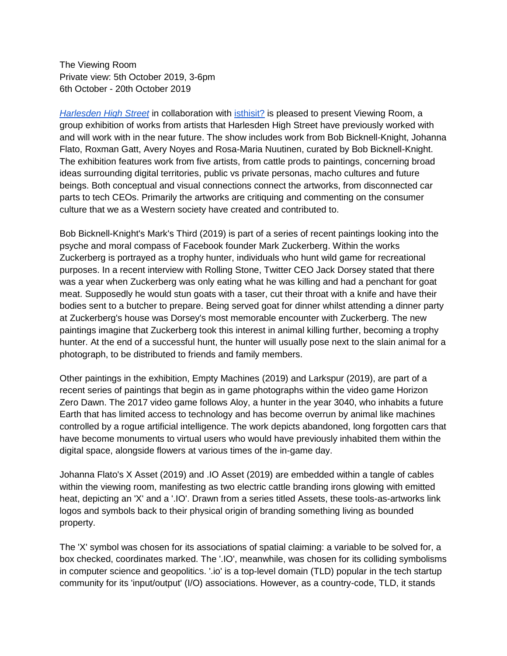The Viewing Room Private view: 5th October 2019, 3-6pm 6th October - 20th October 2019

*[Harlesden High Street](http://harlesdenhighstreet.com/)* in collaboration with [isthisit?](https://www.isthisitisthisit.com/) is pleased to present Viewing Room, a group exhibition of works from artists that Harlesden High Street have previously worked with and will work with in the near future. The show includes work from Bob Bicknell-Knight, Johanna Flato, Roxman Gatt, Avery Noyes and Rosa-Maria Nuutinen, curated by Bob Bicknell-Knight. The exhibition features work from five artists, from cattle prods to paintings, concerning broad ideas surrounding digital territories, public vs private personas, macho cultures and future beings. Both conceptual and visual connections connect the artworks, from disconnected car parts to tech CEOs. Primarily the artworks are critiquing and commenting on the consumer culture that we as a Western society have created and contributed to.

Bob Bicknell-Knight's Mark's Third (2019) is part of a series of recent paintings looking into the psyche and moral compass of Facebook founder Mark Zuckerberg. Within the works Zuckerberg is portrayed as a trophy hunter, individuals who hunt wild game for recreational purposes. In a recent interview with Rolling Stone, Twitter CEO Jack Dorsey stated that there was a year when Zuckerberg was only eating what he was killing and had a penchant for goat meat. Supposedly he would stun goats with a taser, cut their throat with a knife and have their bodies sent to a butcher to prepare. Being served goat for dinner whilst attending a dinner party at Zuckerberg's house was Dorsey's most memorable encounter with Zuckerberg. The new paintings imagine that Zuckerberg took this interest in animal killing further, becoming a trophy hunter. At the end of a successful hunt, the hunter will usually pose next to the slain animal for a photograph, to be distributed to friends and family members.

Other paintings in the exhibition, Empty Machines (2019) and Larkspur (2019), are part of a recent series of paintings that begin as in game photographs within the video game Horizon Zero Dawn. The 2017 video game follows Aloy, a hunter in the year 3040, who inhabits a future Earth that has limited access to technology and has become overrun by animal like machines controlled by a rogue artificial intelligence. The work depicts abandoned, long forgotten cars that have become monuments to virtual users who would have previously inhabited them within the digital space, alongside flowers at various times of the in-game day.

Johanna Flato's X Asset (2019) and .IO Asset (2019) are embedded within a tangle of cables within the viewing room, manifesting as two electric cattle branding irons glowing with emitted heat, depicting an 'X' and a '.IO'. Drawn from a series titled Assets, these tools-as-artworks link logos and symbols back to their physical origin of branding something living as bounded property.

The 'X' symbol was chosen for its associations of spatial claiming: a variable to be solved for, a box checked, coordinates marked. The '.IO', meanwhile, was chosen for its colliding symbolisms in computer science and geopolitics. '.io' is a top-level domain (TLD) popular in the tech startup community for its 'input/output' (I/O) associations. However, as a country-code, TLD, it stands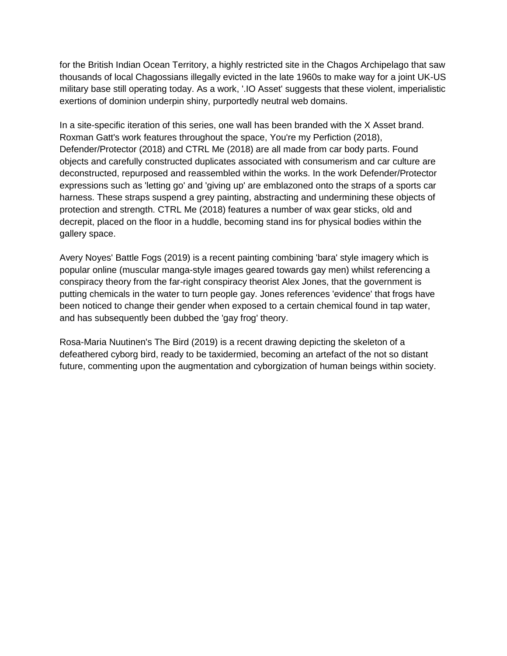for the British Indian Ocean Territory, a highly restricted site in the Chagos Archipelago that saw thousands of local Chagossians illegally evicted in the late 1960s to make way for a joint UK-US military base still operating today. As a work, '.IO Asset' suggests that these violent, imperialistic exertions of dominion underpin shiny, purportedly neutral web domains.

In a site-specific iteration of this series, one wall has been branded with the X Asset brand. Roxman Gatt's work features throughout the space, You're my Perfiction (2018), Defender/Protector (2018) and CTRL Me (2018) are all made from car body parts. Found objects and carefully constructed duplicates associated with consumerism and car culture are deconstructed, repurposed and reassembled within the works. In the work Defender/Protector expressions such as 'letting go' and 'giving up' are emblazoned onto the straps of a sports car harness. These straps suspend a grey painting, abstracting and undermining these objects of protection and strength. CTRL Me (2018) features a number of wax gear sticks, old and decrepit, placed on the floor in a huddle, becoming stand ins for physical bodies within the gallery space.

Avery Noyes' Battle Fogs (2019) is a recent painting combining 'bara' style imagery which is popular online (muscular manga-style images geared towards gay men) whilst referencing a conspiracy theory from the far-right conspiracy theorist Alex Jones, that the government is putting chemicals in the water to turn people gay. Jones references 'evidence' that frogs have been noticed to change their gender when exposed to a certain chemical found in tap water, and has subsequently been dubbed the 'gay frog' theory.

Rosa-Maria Nuutinen's The Bird (2019) is a recent drawing depicting the skeleton of a defeathered cyborg bird, ready to be taxidermied, becoming an artefact of the not so distant future, commenting upon the augmentation and cyborgization of human beings within society.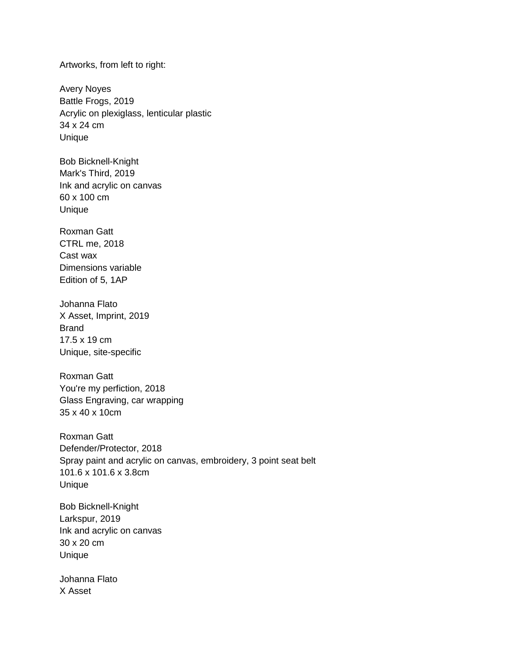Artworks, from left to right:

Avery Noyes Battle Frogs, 2019 Acrylic on plexiglass, lenticular plastic 34 x 24 cm Unique

Bob Bicknell-Knight Mark's Third, 2019 Ink and acrylic on canvas 60 x 100 cm Unique

Roxman Gatt CTRL me, 2018 Cast wax Dimensions variable Edition of 5, 1AP

Johanna Flato X Asset, Imprint, 2019 Brand 17.5 x 19 cm Unique, site-specific

Roxman Gatt You're my perfiction, 2018 Glass Engraving, car wrapping 35 x 40 x 10cm

Roxman Gatt Defender/Protector, 2018 Spray paint and acrylic on canvas, embroidery, 3 point seat belt 101.6 x 101.6 x 3.8cm Unique

Bob Bicknell-Knight Larkspur, 2019 Ink and acrylic on canvas 30 x 20 cm Unique

Johanna Flato X Asset